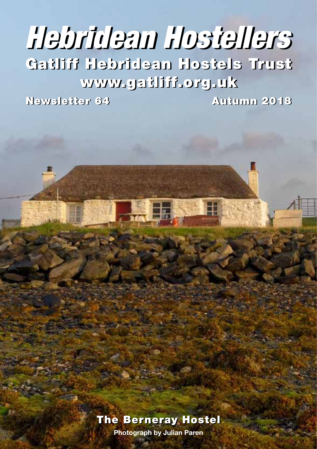# Gatliff Hebridean Hostels Trust Gatliff Hebridean Hostels Trust www.gatliff.org.uk www.gatliff.org.uk *Hebridean Hostellers Hebridean Hostellers*

Newsletter 64 Autumn 2018 Newsletter 64 Autumn 2018

#### The Berneray Hostel The Berneray Hostel

**• 1 • Photograph by Julian Paren**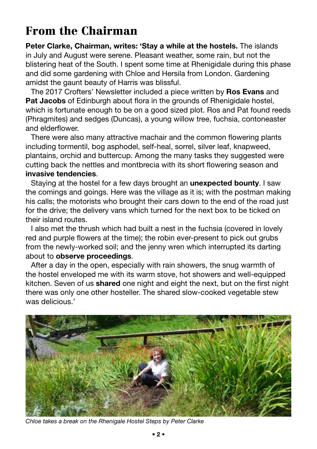### From the Chairman

**Peter Clarke, Chairman, writes: 'Stay a while at the hostels.** The islands in July and August were serene. Pleasant weather, some rain, but not the blistering heat of the South. I spent some time at Rhenigidale during this phase and did some gardening with Chloe and Hersila from London. Gardening amidst the gaunt beauty of Harris was blissful.

The 2017 Crofters' Newsletter included a piece written by **Ros Evans** and **Pat Jacobs** of Edinburgh about flora in the grounds of Rhenigidale hostel, which is fortunate enough to be on a good sized plot. Ros and Pat found reeds (Phragmites) and sedges (Duncas), a young willow tree, fuchsia, contoneaster and elderflower.

There were also many attractive machair and the common flowering plants including tormentil, bog asphodel, self-heal, sorrel, silver leaf, knapweed, plantains, orchid and buttercup. Among the many tasks they suggested were cutting back the nettles and montbrecia with its short flowering season and **invasive tendencies**.

Staying at the hostel for a few days brought an **unexpected bounty**. I saw the comings and goings. Here was the village as it is; with the postman making his calls; the motorists who brought their cars down to the end of the road just for the drive; the delivery vans which turned for the next box to be ticked on their island routes.

I also met the thrush which had built a nest in the fuchsia (covered in lovely red and purple flowers at the time); the robin ever-present to pick out grubs from the newly-worked soil; and the jenny wren which interrupted its darting about to **observe proceedings**.

After a day in the open, especially with rain showers, the snug warmth of the hostel enveloped me with its warm stove, hot showers and well-equipped kitchen. Seven of us **shared** one night and eight the next, but on the first night there was only one other hosteller. The shared slow-cooked vegetable stew was delicious.'



*Chloe takes a break on the Rhenigale Hostel Steps by Peter Clarke*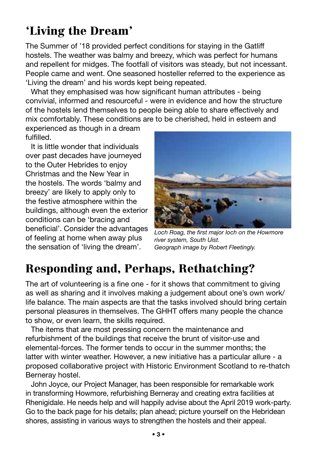#### breezy' are likely to apply only to the festive atmosphere within the

buildings, although even the exterior conditions can be 'bracing and beneficial'. Consider the advantages of feeling at home when away plus the sensation of 'living the dream'.

#### *Loch Roag, the first major loch on the Howmore river system, South Uist. Geograph image by Robert Fleetingly.*

#### Responding and, Perhaps, Rethatching?

The art of volunteering is a fine one - for it shows that commitment to giving as well as sharing and it involves making a judgement about one's own work/ life balance. The main aspects are that the tasks involved should bring certain personal pleasures in themselves. The GHHT offers many people the chance to show, or even learn, the skills required.

The items that are most pressing concern the maintenance and refurbishment of the buildings that receive the brunt of visitor-use and elemental-forces. The former tends to occur in the summer months; the latter with winter weather. However, a new initiative has a particular allure - a proposed collaborative project with Historic Environment Scotland to re-thatch Berneray hostel.

John Joyce, our Project Manager, has been responsible for remarkable work in transforming Howmore, refurbishing Berneray and creating extra facilities at Rhenigidale. He needs help and will happily advise about the April 2019 work-party. Go to the back page for his details; plan ahead; picture yourself on the Hebridean shores, assisting in various ways to strengthen the hostels and their appeal.



# 'Living the Dream'

experienced as though in a dream

It is little wonder that individuals over past decades have journeyed to the Outer Hebrides to enjoy Christmas and the New Year in the hostels. The words 'balmy and

fulfilled.

The Summer of '18 provided perfect conditions for staying in the Gatliff hostels. The weather was balmy and breezy, which was perfect for humans and repellent for midges. The footfall of visitors was steady, but not incessant. People came and went. One seasoned hosteller referred to the experience as 'Living the dream' and his words kept being repeated.

What they emphasised was how significant human attributes - being convivial, informed and resourceful - were in evidence and how the structure of the hostels lend themselves to people being able to share effectively and mix comfortably. These conditions are to be cherished, held in esteem and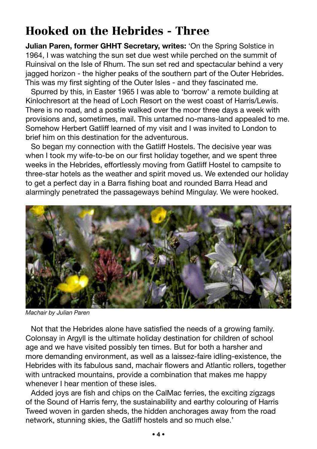### Hooked on the Hebrides - Three

**Julian Paren, former GHHT Secretary, writes:** 'On the Spring Solstice in 1964, I was watching the sun set due west while perched on the summit of Ruinsival on the Isle of Rhum. The sun set red and spectacular behind a very jagged horizon - the higher peaks of the southern part of the Outer Hebrides. This was my first sighting of the Outer Isles - and they fascinated me.

Spurred by this, in Easter 1965 I was able to 'borrow' a remote building at Kinlochresort at the head of Loch Resort on the west coast of Harris/Lewis. There is no road, and a postie walked over the moor three days a week with provisions and, sometimes, mail. This untamed no-mans-land appealed to me. Somehow Herbert Gatliff learned of my visit and I was invited to London to brief him on this destination for the adventurous.

So began my connection with the Gatliff Hostels. The decisive year was when I took my wife-to-be on our first holiday together, and we spent three weeks in the Hebrides, effortlessly moving from Gatliff Hostel to campsite to three-star hotels as the weather and spirit moved us. We extended our holiday to get a perfect day in a Barra fishing boat and rounded Barra Head and alarmingly penetrated the passageways behind Mingulay. We were hooked.



*Machair by Julian Paren*

Not that the Hebrides alone have satisfied the needs of a growing family. Colonsay in Argyll is the ultimate holiday destination for children of school age and we have visited possibly ten times. But for both a harsher and more demanding environment, as well as a laissez-faire idling-existence, the Hebrides with its fabulous sand, machair flowers and Atlantic rollers, together with untracked mountains, provide a combination that makes me happy whenever I hear mention of these isles.

Added joys are fish and chips on the CalMac ferries, the exciting zigzags of the Sound of Harris ferry, the sustainability and earthy colouring of Harris Tweed woven in garden sheds, the hidden anchorages away from the road network, stunning skies, the Gatliff hostels and so much else.'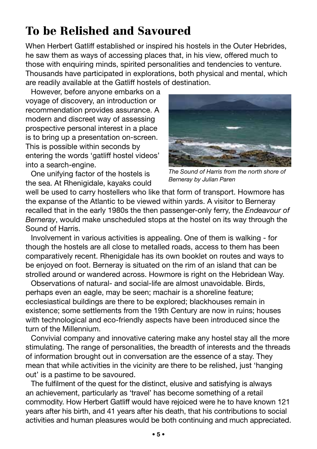# To be Relished and Savoured

When Herbert Gatliff established or inspired his hostels in the Outer Hebrides, he saw them as ways of accessing places that, in his view, offered much to those with enquiring minds, spirited personalities and tendencies to venture. Thousands have participated in explorations, both physical and mental, which are readily available at the Gatliff hostels of destination.

However, before anyone embarks on a voyage of discovery, an introduction or recommendation provides assurance. A modern and discreet way of assessing prospective personal interest in a place is to bring up a presentation on-screen. This is possible within seconds by entering the words 'gatliff hostel videos' into a search-engine.

One unifying factor of the hostels is the sea. At Rhenigidale, kayaks could



*The Sound of Harris from the north shore of Berneray by Julian Paren*

well be used to carry hostellers who like that form of transport. Howmore has the expanse of the Atlantic to be viewed within yards. A visitor to Berneray recalled that in the early 1980s the then passenger-only ferry, the *Endeavour of Berneray*, would make unscheduled stops at the hostel on its way through the Sound of Harris.

Involvement in various activities is appealing. One of them is walking - for though the hostels are all close to metalled roads, access to them has been comparatively recent. Rhenigidale has its own booklet on routes and ways to be enjoyed on foot. Berneray is situated on the rim of an island that can be strolled around or wandered across. Howmore is right on the Hebridean Way.

Observations of natural- and social-life are almost unavoidable. Birds, perhaps even an eagle, may be seen; machair is a shoreline feature; ecclesiastical buildings are there to be explored; blackhouses remain in existence; some settlements from the 19th Century are now in ruins; houses with technological and eco-friendly aspects have been introduced since the turn of the Millennium.

Convivial company and innovative catering make any hostel stay all the more stimulating. The range of personalities, the breadth of interests and the threads of information brought out in conversation are the essence of a stay. They mean that while activities in the vicinity are there to be relished, just 'hanging out' is a pastime to be savoured.

The fulfilment of the quest for the distinct, elusive and satisfying is always an achievement, particularly as 'travel' has become something of a retail commodity. How Herbert Gatliff would have rejoiced were he to have known 121 years after his birth, and 41 years after his death, that his contributions to social activities and human pleasures would be both continuing and much appreciated.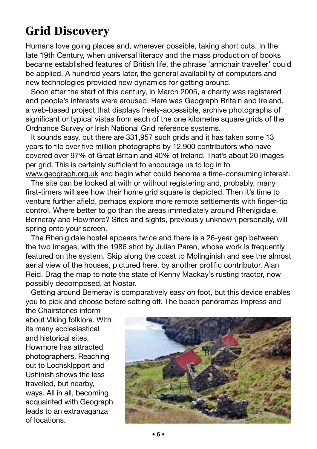# Grid Discovery

Humans love going places and, wherever possible, taking short cuts. In the late 19th Century, when universal literacy and the mass production of books became established features of British life, the phrase 'armchair traveller' could be applied. A hundred years later, the general availability of computers and new technologies provided new dynamics for getting around.

Soon after the start of this century, in March 2005, a charity was registered and people's interests were aroused. Here was Geograph Britain and Ireland, a web-based project that displays freely-accessible, archive photographs of significant or typical vistas from each of the one kilometre square grids of the Ordnance Survey or Irish National Grid reference systems.

It sounds easy, but there are 331,957 such grids and it has taken some 13 years to file over five million photographs by 12,900 contributors who have covered over 97% of Great Britain and 40% of Ireland. That's about 20 images per grid. This is certainly sufficient to encourage us to log in to www.geograph.org.uk and begin what could become a time-consuming interest.

The site can be looked at with or without registering and, probably, many first-timers will see how their home grid square is depicted. Then it's time to venture further afield, perhaps explore more remote settlements with finger-tip control. Where better to go than the areas immediately around Rhenigidale, Berneray and Howmore? Sites and sights, previously unknown personally, will spring onto your screen.

The Rhenigidale hostel appears twice and there is a 26-year gap between the two images, with the 1986 shot by Julian Paren, whose work is frequently featured on the system. Skip along the coast to Molinginish and see the almost aerial view of the houses, pictured here, by another prolific contributor, Alan Reid. Drag the map to note the state of Kenny Mackay's rusting tractor, now possibly decomposed, at Nostar.

Getting around Berneray is comparatively easy on foot, but this device enables you to pick and choose before setting off. The beach panoramas impress and

the Chairstones inform about Viking folklore. With its many ecclesiastical and historical sites, Howmore has attracted photographers. Reaching out to Lochsklpport and Ushinish shows the lesstravelled, but nearby, ways. All in all, becoming acquainted with Geograph leads to an extravaganza of locations.

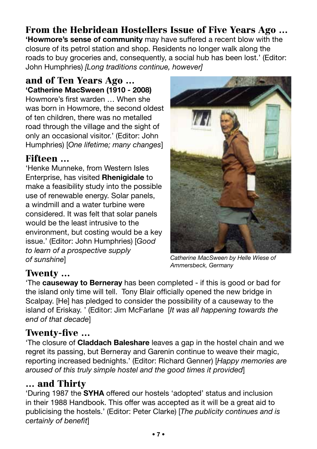# From the Hebridean Hostellers Issue of Five Years Ago …

**'Howmore's sense of community** may have suffered a recent blow with the closure of its petrol station and shop. Residents no longer walk along the roads to buy groceries and, consequently, a social hub has been lost.' (Editor: John Humphries) *[Long traditions continue, however]*

#### and of Ten Years Ago … **'Catherine MacSween (1910 - 2008)**

Howmore's first warden … When she was born in Howmore, the second oldest of ten children, there was no metalled road through the village and the sight of only an occasional visitor.' (Editor: John Humphries) [*One lifetime; many changes*]

#### Fifteen …

'Henke Munneke, from Western Isles Enterprise, has visited **Rhenigidale** to make a feasibility study into the possible use of renewable energy. Solar panels, a windmill and a water turbine were considered. It was felt that solar panels would be the least intrusive to the environment, but costing would be a key issue.' (Editor: John Humphries) [*Good to learn of a prospective supply of sunshine*]



*Catherine MacSween by Helle Wiese of Ammersbeck, Germany*

#### Twenty …

'The **causeway to Berneray** has been completed - if this is good or bad for the island only time will tell. Tony Blair officially opened the new bridge in Scalpay. [He] has pledged to consider the possibility of a causeway to the island of Eriskay. ' (Editor: Jim McFarlane [*It was all happening towards the end of that decade*]

#### Twenty-five …

'The closure of **Claddach Baleshare** leaves a gap in the hostel chain and we regret its passing, but Berneray and Garenin continue to weave their magic, reporting increased bednights.' (Editor: Richard Genner) [*Happy memories are aroused of this truly simple hostel and the good times it provided*]

#### … and Thirty

'During 1987 the **SYHA** offered our hostels 'adopted' status and inclusion in their 1988 Handbook. This offer was accepted as it will be a great aid to publicising the hostels.' (Editor: Peter Clarke) [*The publicity continues and is certainly of benefit*]